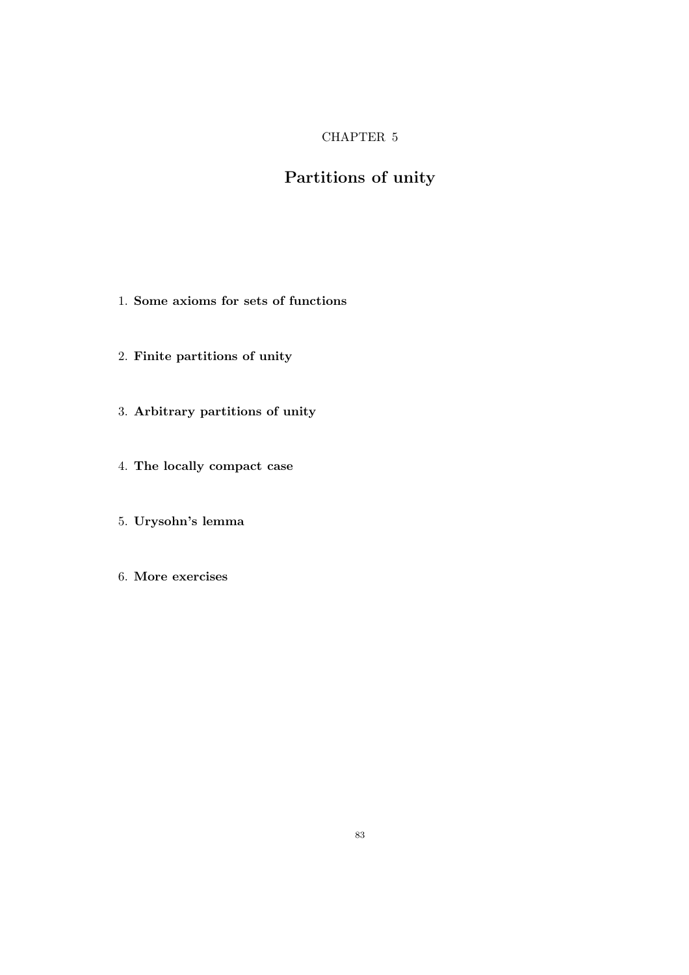## CHAPTER 5

# Partitions of unity

- 1. Some axioms for sets of functions
- 2. Finite partitions of unity
- 3. Arbitrary partitions of unity
- 4. The locally compact case
- 5. Urysohn's lemma
- 6. More exercises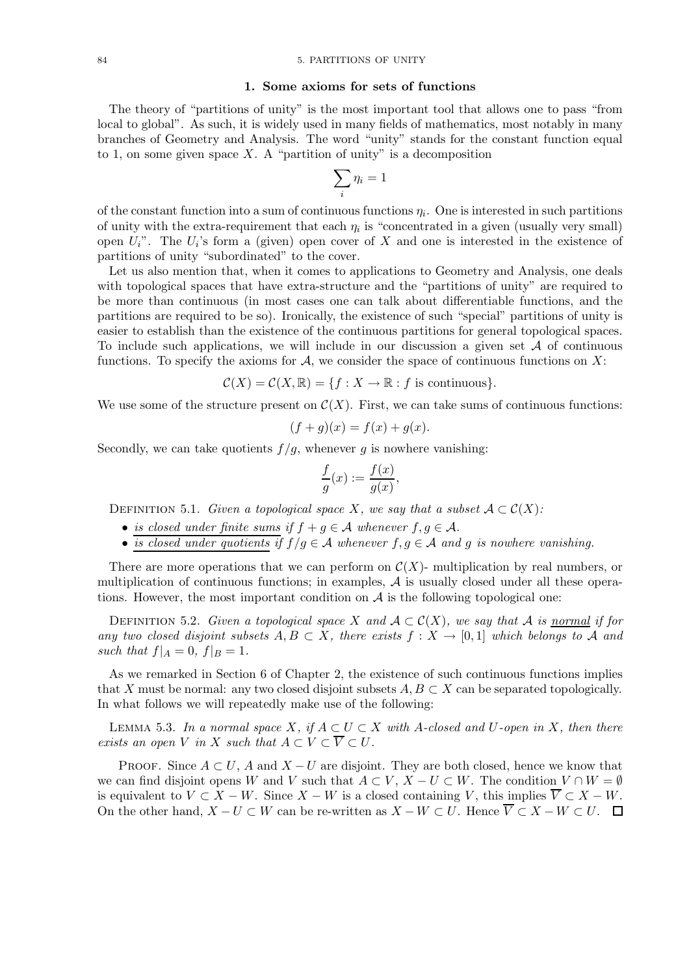## 84 5. PARTITIONS OF UNITY

## 1. Some axioms for sets of functions

The theory of "partitions of unity" is the most important tool that allows one to pass "from local to global". As such, it is widely used in many fields of mathematics, most notably in many branches of Geometry and Analysis. The word "unity" stands for the constant function equal to 1, on some given space  $X$ . A "partition of unity" is a decomposition

$$
\sum_i \eta_i = 1
$$

of the constant function into a sum of continuous functions  $\eta_i$ . One is interested in such partitions of unity with the extra-requirement that each  $\eta_i$  is "concentrated in a given (usually very small) open  $U_i$ ". The  $U_i$ 's form a (given) open cover of X and one is interested in the existence of partitions of unity "subordinated" to the cover.

Let us also mention that, when it comes to applications to Geometry and Analysis, one deals with topological spaces that have extra-structure and the "partitions of unity" are required to be more than continuous (in most cases one can talk about differentiable functions, and the partitions are required to be so). Ironically, the existence of such "special" partitions of unity is easier to establish than the existence of the continuous partitions for general topological spaces. To include such applications, we will include in our discussion a given set  $\mathcal A$  of continuous functions. To specify the axioms for  $A$ , we consider the space of continuous functions on X:

$$
\mathcal{C}(X) = \mathcal{C}(X, \mathbb{R}) = \{ f : X \to \mathbb{R} : f \text{ is continuous} \}.
$$

We use some of the structure present on  $\mathcal{C}(X)$ . First, we can take sums of continuous functions:

$$
(f+g)(x) = f(x) + g(x).
$$

Secondly, we can take quotients  $f/g$ , whenever g is nowhere vanishing:

$$
\frac{f}{g}(x) := \frac{f(x)}{g(x)},
$$

DEFINITION 5.1. Given a topological space X, we say that a subset  $A \subset C(X)$ :

- is closed under finite sums if  $f + g \in A$  whenever  $f, g \in A$ .
- is closed under quotients if  $f/g \in A$  whenever  $f, g \in A$  and g is nowhere vanishing.

There are more operations that we can perform on  $C(X)$ - multiplication by real numbers, or multiplication of continuous functions; in examples,  $A$  is usually closed under all these operations. However, the most important condition on  $A$  is the following topological one:

DEFINITION 5.2. Given a topological space X and  $A \subset C(X)$ , we say that A is normal if for any two closed disjoint subsets  $A, B \subset X$ , there exists  $f : X \to [0,1]$  which belongs to A and such that  $f|_A = 0, f|_B = 1.$ 

As we remarked in Section 6 of Chapter 2, the existence of such continuous functions implies that X must be normal: any two closed disjoint subsets  $A, B \subset X$  can be separated topologically. In what follows we will repeatedly make use of the following:

LEMMA 5.3. In a normal space X, if  $A \subset U \subset X$  with A-closed and U-open in X, then there exists an open V in X such that  $A \subset V \subset \overline{V} \subset U$ .

PROOF. Since  $A \subset U$ , A and  $X - U$  are disjoint. They are both closed, hence we know that we can find disjoint opens W and V such that  $A \subset V$ ,  $X - U \subset W$ . The condition  $V \cap W = \emptyset$ is equivalent to  $V \subset X - W$ . Since  $X - W$  is a closed containing V, this implies  $\overline{V} \subset X - W$ . On the other hand,  $X - U \subset W$  can be re-written as  $X - W \subset U$ . Hence  $\overline{V} \subset X - W \subset U$ .  $\Box$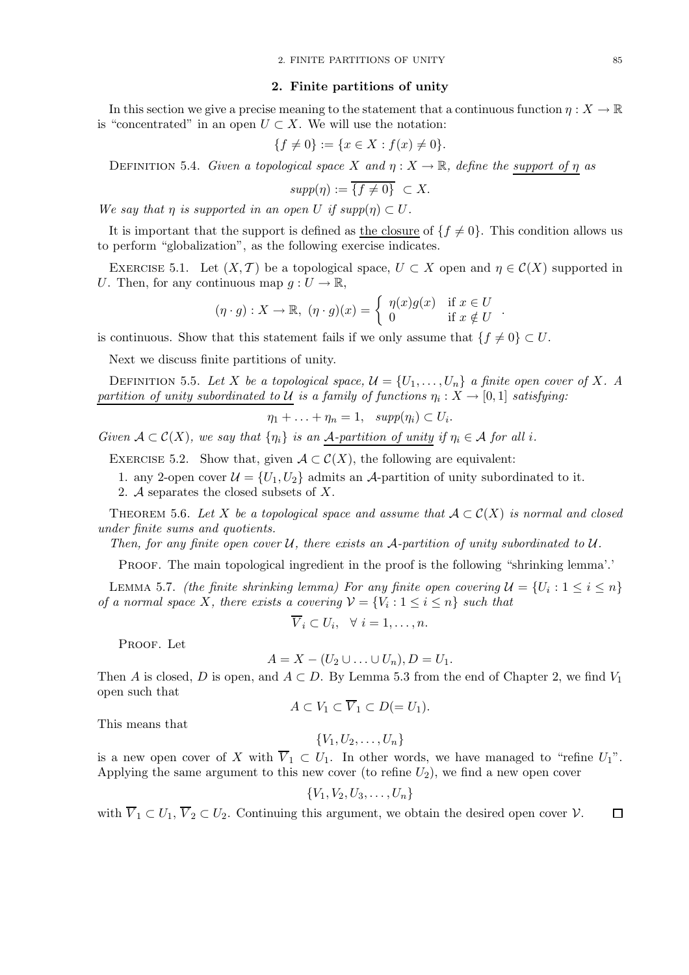## 2. Finite partitions of unity

In this section we give a precise meaning to the statement that a continuous function  $\eta: X \to \mathbb{R}$ is "concentrated" in an open  $U \subset X$ . We will use the notation:

$$
\{f \neq 0\} := \{x \in X : f(x) \neq 0\}.
$$

DEFINITION 5.4. Given a topological space X and  $\eta: X \to \mathbb{R}$ , define the support of  $\eta$  as

$$
supp(\eta) := \overline{\{f \neq 0\}} \ \subset X.
$$

We say that  $\eta$  is supported in an open U if  $supp(\eta) \subset U$ .

It is important that the support is defined as the closure of  $\{f \neq 0\}$ . This condition allows us to perform "globalization", as the following exercise indicates.

EXERCISE 5.1. Let  $(X, \mathcal{T})$  be a topological space,  $U \subset X$  open and  $\eta \in \mathcal{C}(X)$  supported in U. Then, for any continuous map  $q:U\to\mathbb{R}$ ,

$$
(\eta \cdot g) : X \to \mathbb{R}, \ (\eta \cdot g)(x) = \begin{cases} \eta(x)g(x) & \text{if } x \in U \\ 0 & \text{if } x \notin U \end{cases}
$$

.

is continuous. Show that this statement fails if we only assume that  $\{f \neq 0\} \subset U$ .

Next we discuss finite partitions of unity.

DEFINITION 5.5. Let X be a topological space,  $\mathcal{U} = \{U_1, \ldots, U_n\}$  a finite open cover of X. A partition of unity subordinated to U is a family of functions  $\eta_i: X \to [0,1]$  satisfying:

$$
\eta_1 + \ldots + \eta_n = 1, \quad supp(\eta_i) \subset U_i.
$$

Given  $A \subset \mathcal{C}(X)$ , we say that  $\{\eta_i\}$  is an A-partition of unity if  $\eta_i \in \mathcal{A}$  for all i.

EXERCISE 5.2. Show that, given  $A \subset C(X)$ , the following are equivalent:

1. any 2-open cover  $\mathcal{U} = \{U_1, U_2\}$  admits an A-partition of unity subordinated to it.

2. A separates the closed subsets of X.

THEOREM 5.6. Let X be a topological space and assume that  $A \subset \mathcal{C}(X)$  is normal and closed under finite sums and quotients.

Then, for any finite open cover  $U$ , there exists an A-partition of unity subordinated to  $U$ .

PROOF. The main topological ingredient in the proof is the following "shrinking lemma'.'

LEMMA 5.7. (the finite shrinking lemma) For any finite open covering  $\mathcal{U} = \{U_i : 1 \leq i \leq n\}$ of a normal space X, there exists a covering  $\mathcal{V} = \{V_i : 1 \leq i \leq n\}$  such that

$$
V_i \subset U_i, \quad \forall \ i = 1, \ldots, n.
$$

PROOF. Let

$$
A = X - (U_2 \cup \ldots \cup U_n), D = U_1.
$$

Then A is closed, D is open, and  $A \subset D$ . By Lemma 5.3 from the end of Chapter 2, we find  $V_1$ open such that

$$
A \subset V_1 \subset V_1 \subset D (=U_1).
$$

This means that

$$
\{V_1, U_2, \ldots, U_n\}
$$

is a new open cover of X with  $\overline{V}_1 \subset U_1$ . In other words, we have managed to "refine  $U_1$ ". Applying the same argument to this new cover (to refine  $U_2$ ), we find a new open cover

$$
\{V_1,V_2,U_3,\ldots,U_n\}
$$

with  $\overline{V}_1 \subset U_1$ ,  $\overline{V}_2 \subset U_2$ . Continuing this argument, we obtain the desired open cover  $\mathcal{V}$ .  $\Box$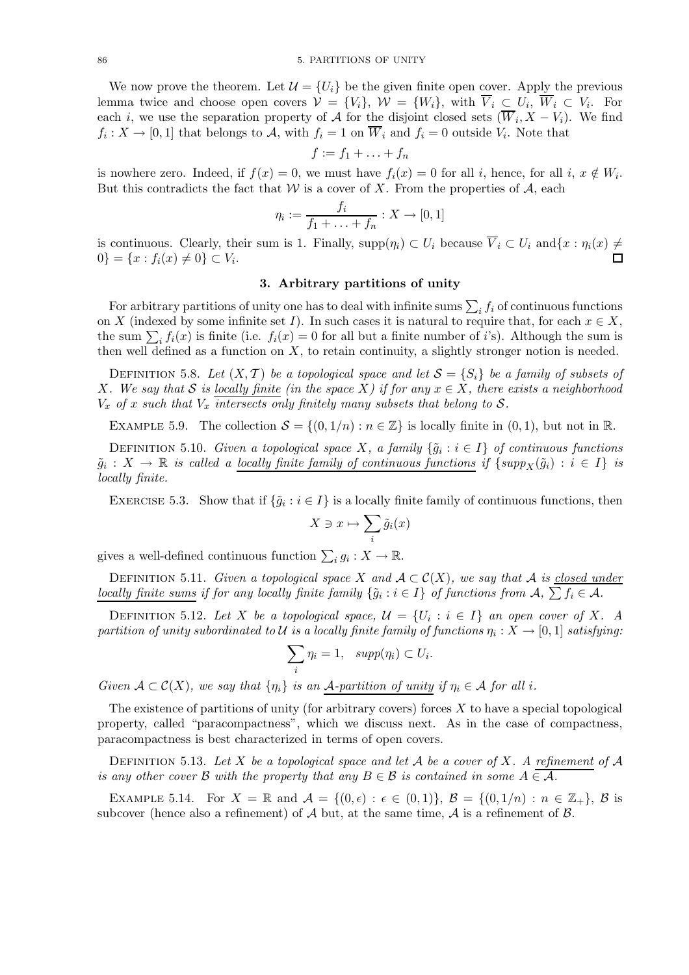We now prove the theorem. Let  $\mathcal{U} = \{U_i\}$  be the given finite open cover. Apply the previous lemma twice and choose open covers  $V = \{V_i\}$ ,  $W = \{W_i\}$ , with  $V_i \subset U_i$ ,  $W_i \subset V_i$ . For each i, we use the separation property of A for the disjoint closed sets  $(W_i, X - V_i)$ . We find  $f_i: X \to [0,1]$  that belongs to A, with  $f_i = 1$  on  $W_i$  and  $f_i = 0$  outside  $V_i$ . Note that

$$
f := f_1 + \ldots + f_n
$$

is nowhere zero. Indeed, if  $f(x) = 0$ , we must have  $f_i(x) = 0$  for all i, hence, for all i,  $x \notin W_i$ . But this contradicts the fact that  $W$  is a cover of X. From the properties of  $A$ , each

$$
\eta_i := \frac{f_i}{f_1 + \ldots + f_n} : X \to [0, 1]
$$

is continuous. Clearly, their sum is 1. Finally,  $supp(\eta_i) \subset U_i$  because  $\overline{V}_i \subset U_i$  and $\{x : \eta_i(x) \neq \emptyset\}$  $\Box$  $0$ } = { $x : f_i(x) \neq 0$ }  $\subset V_i$ .

## 3. Arbitrary partitions of unity

For arbitrary partitions of unity one has to deal with infinite sums  $\sum_i f_i$  of continuous functions on X (indexed by some infinite set I). In such cases it is natural to require that, for each  $x \in X$ , the sum  $\sum_i f_i(x)$  is finite (i.e.  $f_i(x) = 0$  for all but a finite number of *i*'s). Although the sum is then well defined as a function on  $X$ , to retain continuity, a slightly stronger notion is needed.

DEFINITION 5.8. Let  $(X, \mathcal{T})$  be a topological space and let  $\mathcal{S} = \{S_i\}$  be a family of subsets of X. We say that S is locally finite (in the space X) if for any  $x \in X$ , there exists a neighborhood  $V_x$  of x such that  $V_x$  intersects only finitely many subsets that belong to S.

EXAMPLE 5.9. The collection  $S = \{(0, 1/n) : n \in \mathbb{Z}\}\$ is locally finite in  $(0, 1)$ , but not in R.

DEFINITION 5.10. Given a topological space X, a family  $\{\tilde{g}_i : i \in I\}$  of continuous functions  $\tilde{g}_i: X \to \mathbb{R}$  is called a locally finite family of continuous functions if  $\{supp_X(\tilde{g}_i): i \in I\}$  is locally finite.

EXERCISE 5.3. Show that if  $\{\tilde{g}_i : i \in I\}$  is a locally finite family of continuous functions, then

$$
X \ni x \mapsto \sum_i \tilde{g}_i(x)
$$

gives a well-defined continuous function  $\sum_i g_i : X \to \mathbb{R}$ .

DEFINITION 5.11. Given a topological space X and  $A \subset C(X)$ , we say that A is closed under locally finite sums if for any locally finite family  $\{\tilde{g}_i : i \in I\}$  of functions from  $\mathcal{A}, \sum f_i \in \mathcal{A}$ .

DEFINITION 5.12. Let X be a topological space,  $\mathcal{U} = \{U_i : i \in I\}$  an open cover of X. A partition of unity subordinated to  $\mathcal U$  is a locally finite family of functions  $\eta_i:X\to [0,1]$  satisfying:

$$
\sum_i \eta_i = 1, \quad supp(\eta_i) \subset U_i.
$$

Given  $A \subset \mathcal{C}(X)$ , we say that  $\{\eta_i\}$  is an A-partition of unity if  $\eta_i \in \mathcal{A}$  for all i.

The existence of partitions of unity (for arbitrary covers) forces  $X$  to have a special topological property, called "paracompactness", which we discuss next. As in the case of compactness, paracompactness is best characterized in terms of open covers.

DEFINITION 5.13. Let X be a topological space and let A be a cover of X. A refinement of A is any other cover B with the property that any  $B \in \mathcal{B}$  is contained in some  $A \in \overline{\mathcal{A}}$ .

EXAMPLE 5.14. For  $X = \mathbb{R}$  and  $\mathcal{A} = \{(0, \epsilon) : \epsilon \in (0, 1)\}, \mathcal{B} = \{(0, 1/n) : n \in \mathbb{Z}_+\}, \mathcal{B}$  is subcover (hence also a refinement) of  $A$  but, at the same time,  $A$  is a refinement of  $B$ .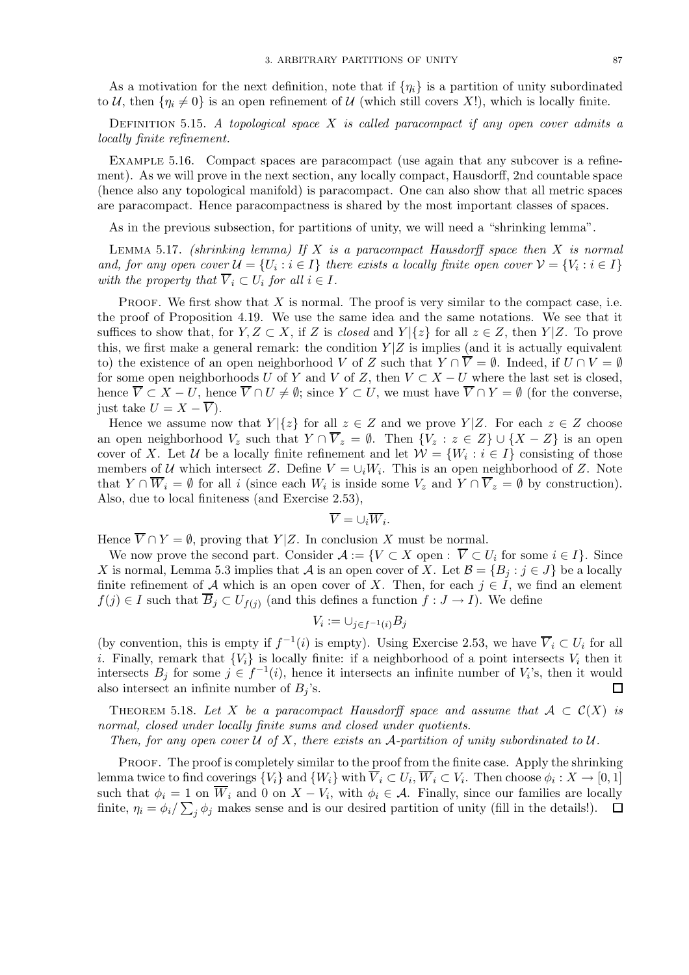As a motivation for the next definition, note that if  $\{\eta_i\}$  is a partition of unity subordinated to U, then  $\{\eta_i \neq 0\}$  is an open refinement of U (which still covers X!), which is locally finite.

DEFINITION 5.15. A topological space  $X$  is called paracompact if any open cover admits a locally finite refinement.

Example 5.16. Compact spaces are paracompact (use again that any subcover is a refinement). As we will prove in the next section, any locally compact, Hausdorff, 2nd countable space (hence also any topological manifold) is paracompact. One can also show that all metric spaces are paracompact. Hence paracompactness is shared by the most important classes of spaces.

As in the previous subsection, for partitions of unity, we will need a "shrinking lemma".

LEMMA 5.17. (shrinking lemma) If X is a paracompact Hausdorff space then X is normal and, for any open cover  $\mathcal{U} = \{U_i : i \in I\}$  there exists a locally finite open cover  $\mathcal{V} = \{V_i : i \in I\}$ with the property that  $V_i \subset U_i$  for all  $i \in I$ .

PROOF. We first show that  $X$  is normal. The proof is very similar to the compact case, i.e. the proof of Proposition 4.19. We use the same idea and the same notations. We see that it suffices to show that, for  $Y, Z \subset X$ , if Z is closed and  $Y|\{z\}$  for all  $z \in Z$ , then  $Y|Z$ . To prove this, we first make a general remark: the condition  $Y|Z$  is implies (and it is actually equivalent to) the existence of an open neighborhood V of Z such that  $Y \cap \overline{V} = \emptyset$ . Indeed, if  $U \cap V = \emptyset$ for some open neighborhoods U of Y and V of Z, then  $V \subset X - U$  where the last set is closed, hence  $\overline{V} \subset X - U$ , hence  $\overline{V} \cap U \neq \emptyset$ ; since  $Y \subset U$ , we must have  $\overline{V} \cap Y = \emptyset$  (for the converse, just take  $U = X - \overline{V}$ .

Hence we assume now that  $Y|\{z\}$  for all  $z \in Z$  and we prove  $Y|Z$ . For each  $z \in Z$  choose an open neighborhood  $V_z$  such that  $Y \cap \overline{V}_z = \emptyset$ . Then  $\{V_z : z \in Z\} \cup \{X - Z\}$  is an open cover of X. Let U be a locally finite refinement and let  $\mathcal{W} = \{W_i : i \in I\}$  consisting of those members of U which intersect Z. Define  $V = \bigcup_i W_i$ . This is an open neighborhood of Z. Note that  $Y \cap W_i = \emptyset$  for all i (since each  $W_i$  is inside some  $V_z$  and  $Y \cap V_z = \emptyset$  by construction). Also, due to local finiteness (and Exercise 2.53),

$$
\overline{V} = \cup_i \overline{W}_i.
$$

Hence  $\overline{V} \cap Y = \emptyset$ , proving that  $Y|Z$ . In conclusion X must be normal.

We now prove the second part. Consider  $\mathcal{A} := \{V \subset X \text{ open} : V \subset U_i \text{ for some } i \in I\}$ . Since X is normal, Lemma 5.3 implies that A is an open cover of X. Let  $\mathcal{B} = \{B_i : j \in J\}$  be a locally finite refinement of A which is an open cover of X. Then, for each  $j \in I$ , we find an element  $f(j) \in I$  such that  $B_j \subset U_{f(j)}$  (and this defines a function  $f: J \to I$ ). We define

$$
V_i := \cup_{j \in f^{-1}(i)} B_j
$$

(by convention, this is empty if  $f^{-1}(i)$  is empty). Using Exercise 2.53, we have  $\overline{V}_i \subset U_i$  for all i. Finally, remark that  ${V_i}$  is locally finite: if a neighborhood of a point intersects  $V_i$  then it intersects  $B_j$  for some  $j \in f^{-1}(i)$ , hence it intersects an infinite number of  $V_i$ 's, then it would also intersect an infinite number of  $B_i$ 's.

THEOREM 5.18. Let X be a paracompact Hausdorff space and assume that  $A \subset C(X)$  is normal, closed under locally finite sums and closed under quotients.

Then, for any open cover  $U$  of X, there exists an A-partition of unity subordinated to  $U$ .

Proof. The proof is completely similar to the proof from the finite case. Apply the shrinking lemma twice to find coverings  $\{V_i\}$  and  $\{W_i\}$  with  $V_i \subset U_i$ ,  $W_i \subset V_i$ . Then choose  $\phi_i: X \to [0,1]$ such that  $\phi_i = 1$  on  $W_i$  and 0 on  $X - V_i$ , with  $\phi_i \in \mathcal{A}$ . Finally, since our families are locally finite,  $\eta_i = \phi_i / \sum_j \phi_j$  makes sense and is our desired partition of unity (fill in the details!).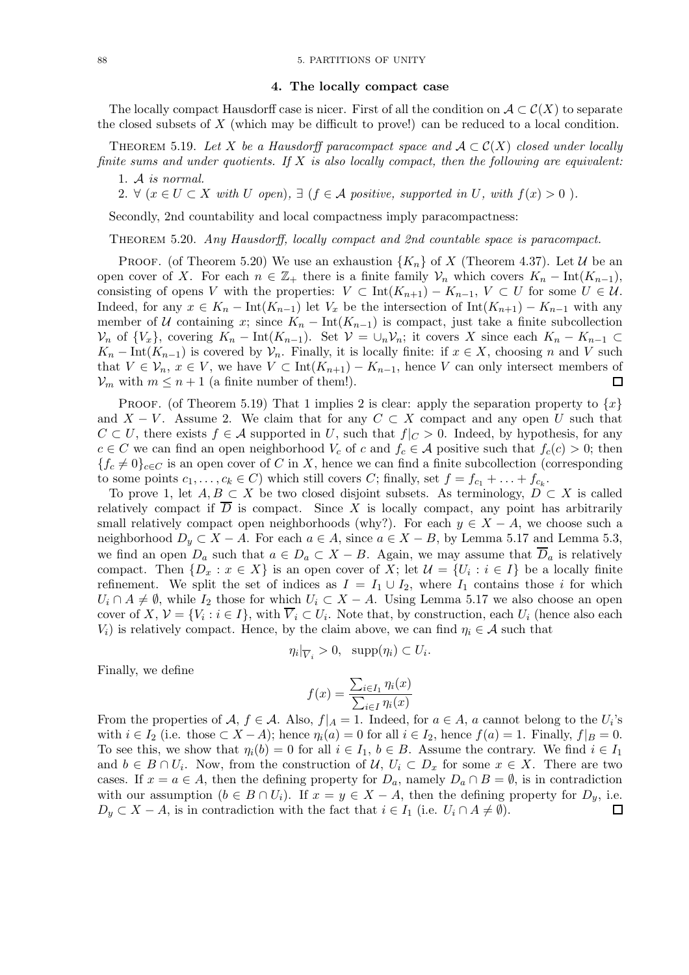## 4. The locally compact case

The locally compact Hausdorff case is nicer. First of all the condition on  $\mathcal{A} \subset \mathcal{C}(X)$  to separate the closed subsets of  $X$  (which may be difficult to prove!) can be reduced to a local condition.

THEOREM 5.19. Let X be a Hausdorff paracompact space and  $A \subset C(X)$  closed under locally finite sums and under quotients. If  $X$  is also locally compact, then the following are equivalent: 1. A is normal.

2.  $\forall (x \in U \subset X \text{ with } U \text{ open}), \exists (f \in A \text{ positive, supported in } U, with  $f(x) > 0$ ).$ 

Secondly, 2nd countability and local compactness imply paracompactness:

Theorem 5.20. Any Hausdorff, locally compact and 2nd countable space is paracompact.

PROOF. (of Theorem 5.20) We use an exhaustion  ${K_n}$  of X (Theorem 4.37). Let U be an open cover of X. For each  $n \in \mathbb{Z}_+$  there is a finite family  $\mathcal{V}_n$  which covers  $K_n - \text{Int}(K_{n-1}),$ consisting of opens V with the properties:  $V \subset \text{Int}(K_{n+1}) - K_{n-1}, V \subset U$  for some  $U \in \mathcal{U}$ . Indeed, for any  $x \in K_n - \text{Int}(K_{n-1})$  let  $V_x$  be the intersection of  $\text{Int}(K_{n+1}) - K_{n-1}$  with any member of U containing x; since  $K_n - \text{Int}(K_{n-1})$  is compact, just take a finite subcollection  $\mathcal{V}_n$  of  $\{V_x\}$ , covering  $K_n - \text{Int}(K_{n-1})$ . Set  $\mathcal{V} = \cup_n \mathcal{V}_n$ ; it covers X since each  $K_n - K_{n-1} \subset$  $K_n$  – Int $(K_{n-1})$  is covered by  $\mathcal{V}_n$ . Finally, it is locally finite: if  $x \in X$ , choosing n and V such that  $V \in \mathcal{V}_n$ ,  $x \in V$ , we have  $V \subset \text{Int}(K_{n+1}) - K_{n-1}$ , hence V can only intersect members of  $\mathcal{V}_m$  with  $m \leq n+1$  (a finite number of them!).  $\Box$ 

PROOF. (of Theorem 5.19) That 1 implies 2 is clear: apply the separation property to  $\{x\}$ and  $X - V$ . Assume 2. We claim that for any  $C \subset X$  compact and any open U such that  $C \subset U$ , there exists  $f \in \mathcal{A}$  supported in U, such that  $f|_{C} > 0$ . Indeed, by hypothesis, for any  $c \in C$  we can find an open neighborhood  $V_c$  of c and  $f_c \in A$  positive such that  $f_c(c) > 0$ ; then  ${f_c \neq 0}_{c \in C}$  is an open cover of C in X, hence we can find a finite subcollection (corresponding to some points  $c_1, \ldots, c_k \in C$ ) which still covers C; finally, set  $f = f_{c_1} + \ldots + f_{c_k}$ .

To prove 1, let  $A, B \subset X$  be two closed disjoint subsets. As terminology,  $D \subset X$  is called relatively compact if  $\overline{D}$  is compact. Since X is locally compact, any point has arbitrarily small relatively compact open neighborhoods (why?). For each  $y \in X - A$ , we choose such a neighborhood  $D_y \subset X - A$ . For each  $a \in A$ , since  $a \in X - B$ , by Lemma 5.17 and Lemma 5.3, we find an open  $D_a$  such that  $a \in D_a \subset X - B$ . Again, we may assume that  $\overline{D}_a$  is relatively compact. Then  $\{D_x : x \in X\}$  is an open cover of X; let  $\mathcal{U} = \{U_i : i \in I\}$  be a locally finite refinement. We split the set of indices as  $I = I_1 \cup I_2$ , where  $I_1$  contains those i for which  $U_i \cap A \neq \emptyset$ , while  $I_2$  those for which  $U_i \subset X - A$ . Using Lemma 5.17 we also choose an open cover of X,  $\mathcal{V} = \{V_i : i \in I\}$ , with  $V_i \subset U_i$ . Note that, by construction, each  $U_i$  (hence also each  $V_i$ ) is relatively compact. Hence, by the claim above, we can find  $\eta_i \in \mathcal{A}$  such that

$$
\eta_i|_{\overline{V}_i} > 0, \quad \text{supp}(\eta_i) \subset U_i.
$$

Finally, we define

$$
f(x) = \frac{\sum_{i \in I_1} \eta_i(x)}{\sum_{i \in I} \eta_i(x)}
$$

From the properties of  $A, f \in A$ . Also,  $f|_A = 1$ . Indeed, for  $a \in A$ , a cannot belong to the  $U_i$ 's with  $i \in I_2$  (i.e. those  $\subset X - A$ ); hence  $\eta_i(a) = 0$  for all  $i \in I_2$ , hence  $f(a) = 1$ . Finally,  $f|_B = 0$ . To see this, we show that  $\eta_i(b) = 0$  for all  $i \in I_1$ ,  $b \in B$ . Assume the contrary. We find  $i \in I_1$ and  $b \in B \cap U_i$ . Now, from the construction of  $\mathcal{U}, U_i \subset D_x$  for some  $x \in X$ . There are two cases. If  $x = a \in A$ , then the defining property for  $D_a$ , namely  $D_a \cap B = \emptyset$ , is in contradiction with our assumption  $(b \in B \cap U_i)$ . If  $x = y \in X - A$ , then the defining property for  $D_y$ , i.e.  $D_y \subset X - A$ , is in contradiction with the fact that  $i \in I_1$  (i.e.  $U_i \cap A \neq \emptyset$ ).  $\Box$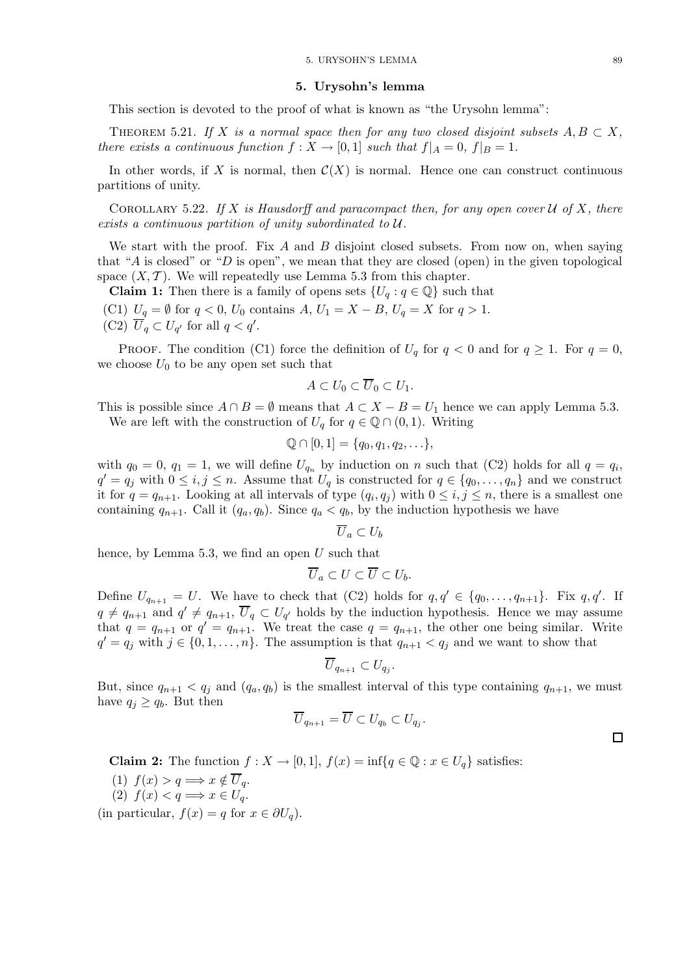## 5. URYSOHN'S LEMMA 89

### 5. Urysohn's lemma

This section is devoted to the proof of what is known as "the Urysohn lemma":

THEOREM 5.21. If X is a normal space then for any two closed disjoint subsets  $A, B \subset X$ , there exists a continuous function  $f: X \to [0, 1]$  such that  $f|_A = 0$ ,  $f|_B = 1$ .

In other words, if X is normal, then  $C(X)$  is normal. Hence one can construct continuous partitions of unity.

COROLLARY 5.22. If X is Hausdorff and paracompact then, for any open cover  $\mathcal U$  of X, there exists a continuous partition of unity subordinated to U.

We start with the proof. Fix  $A$  and  $B$  disjoint closed subsets. From now on, when saying that "A is closed" or "D is open", we mean that they are closed (open) in the given topological space  $(X, \mathcal{T})$ . We will repeatedly use Lemma 5.3 from this chapter.

**Claim 1:** Then there is a family of opens sets  $\{U_q : q \in \mathbb{Q}\}\)$  such that

(C1)  $U_q = \emptyset$  for  $q < 0$ ,  $U_0$  contains  $A, U_1 = X - B, U_q = X$  for  $q > 1$ . (C2)  $\overline{U}_q \subset U_{q'}$  for all  $q < q'$ .

PROOF. The condition (C1) force the definition of  $U_q$  for  $q < 0$  and for  $q \ge 1$ . For  $q = 0$ , we choose  $U_0$  to be any open set such that

$$
A\subset U_0\subset \overline{U}_0\subset U_1.
$$

This is possible since  $A \cap B = \emptyset$  means that  $A \subset X - B = U_1$  hence we can apply Lemma 5.3. We are left with the construction of  $U_q$  for  $q \in \mathbb{Q} \cap (0,1)$ . Writing

$$
\mathbb{Q} \cap [0,1] = \{q_0, q_1, q_2, \ldots\},\
$$

with  $q_0 = 0, q_1 = 1$ , we will define  $U_{q_n}$  by induction on n such that (C2) holds for all  $q = q_i$ ,  $q' = q_j$  with  $0 \leq i, j \leq n$ . Assume that  $U_q$  is constructed for  $q \in \{q_0, \ldots, q_n\}$  and we construct it for  $q = q_{n+1}$ . Looking at all intervals of type  $(q_i, q_j)$  with  $0 \le i, j \le n$ , there is a smallest one containing  $q_{n+1}$ . Call it  $(q_a, q_b)$ . Since  $q_a < q_b$ , by the induction hypothesis we have

$$
\overline U_a\subset U_b
$$

hence, by Lemma 5.3, we find an open  $U$  such that

$$
\overline{U}_a \subset U \subset \overline{U} \subset U_b.
$$

Define  $U_{q_{n+1}} = U$ . We have to check that (C2) holds for  $q, q' \in \{q_0, \ldots, q_{n+1}\}$ . Fix  $q, q'$ . If  $q \neq q_{n+1}$  and  $q' \neq q_{n+1}$ ,  $\overline{U}_q \subset U_{q'}$  holds by the induction hypothesis. Hence we may assume that  $q = q_{n+1}$  or  $q' = q_{n+1}$ . We treat the case  $q = q_{n+1}$ , the other one being similar. Write  $q' = q_j$  with  $j \in \{0, 1, \ldots, n\}$ . The assumption is that  $q_{n+1} < q_j$  and we want to show that

$$
\overline{U}_{q_{n+1}} \subset U_{q_j}.
$$

But, since  $q_{n+1} < q_j$  and  $(q_a, q_b)$  is the smallest interval of this type containing  $q_{n+1}$ , we must have  $q_i \geq q_b$ . But then

$$
\overline{U}_{q_{n+1}} = \overline{U} \subset U_{q_b} \subset U_{q_j}.
$$

**Claim 2:** The function  $f: X \to [0,1], f(x) = \inf\{q \in \mathbb{Q} : x \in U_q\}$  satisfies:

- (1)  $f(x) > q \Longrightarrow x \notin \overline{U}_q$ .
- (2)  $f(x) < q \Longrightarrow x \in U_q$ .

(in particular,  $f(x) = q$  for  $x \in \partial U_q$ ).

 $\Box$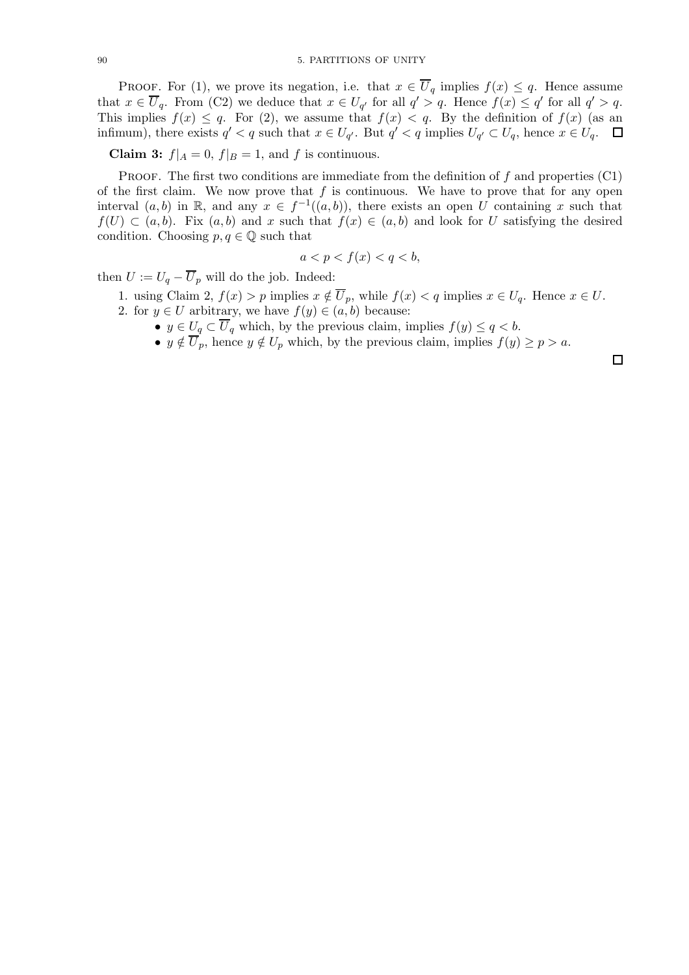PROOF. For (1), we prove its negation, i.e. that  $x \in \overline{U}_q$  implies  $f(x) \leq q$ . Hence assume that  $x \in \overline{U}_q$ . From (C2) we deduce that  $x \in U_{q'}$  for all  $q' > q$ . Hence  $f(x) \leq q'$  for all  $q' > q$ . This implies  $f(x) \leq q$ . For (2), we assume that  $f(x) < q$ . By the definition of  $f(x)$  (as an infimum), there exists  $q' < q$  such that  $x \in U_{q'}$ . But  $q' < q$  implies  $U_{q'} \subset U_q$ , hence  $x \in U_q$ .

Claim 3:  $f|_A = 0$ ,  $f|_B = 1$ , and f is continuous.

PROOF. The first two conditions are immediate from the definition of f and properties  $(C1)$ of the first claim. We now prove that f is continuous. We have to prove that for any open interval  $(a, b)$  in R, and any  $x \in f^{-1}((a, b))$ , there exists an open U containing x such that  $f(U) \subset (a, b)$ . Fix  $(a, b)$  and x such that  $f(x) \in (a, b)$  and look for U satisfying the desired condition. Choosing  $p, q \in \mathbb{Q}$  such that

$$
a < p < f(x) < q < b
$$

then  $U := U_q - \overline{U}_p$  will do the job. Indeed:

- 1. using Claim 2,  $f(x) > p$  implies  $x \notin \overline{U}_p$ , while  $f(x) < q$  implies  $x \in U_q$ . Hence  $x \in U$ .
- 2. for  $y \in U$  arbitrary, we have  $f(y) \in (a, b)$  because:
	- $y \in U_q \subset U_q$  which, by the previous claim, implies  $f(y) \leq q < b$ .
	- $y \notin \overline{U}_p$ , hence  $y \notin U_p$  which, by the previous claim, implies  $f(y) \ge p > a$ .

 $\Box$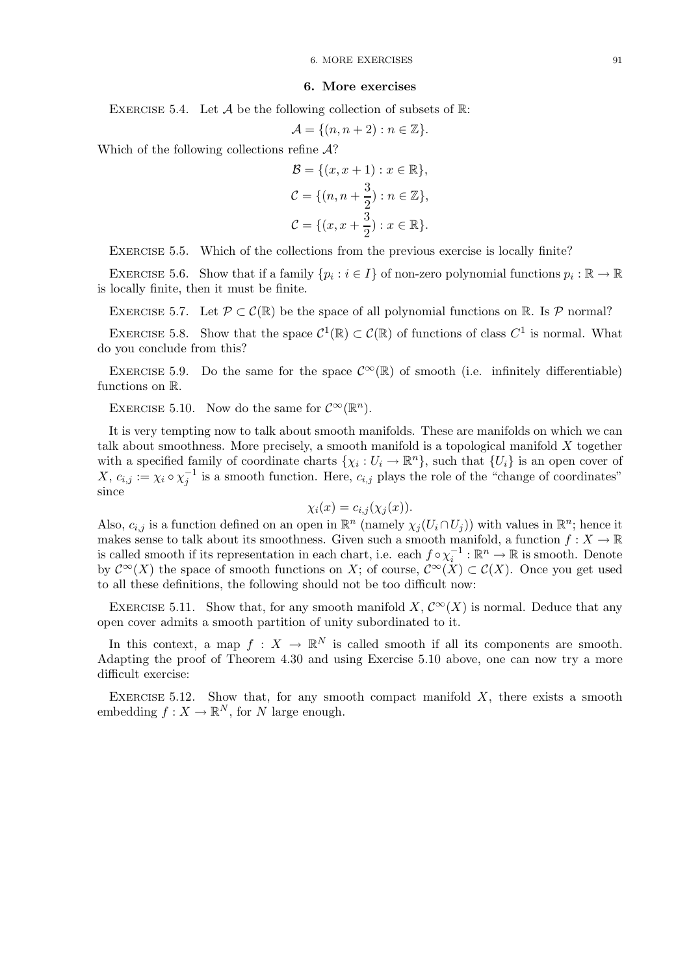#### 6. More exercises

EXERCISE 5.4. Let  $A$  be the following collection of subsets of  $\mathbb{R}$ :

$$
\mathcal{A} = \{(n, n+2) : n \in \mathbb{Z}\}.
$$

Which of the following collections refine A?

$$
\mathcal{B} = \{ (x, x + 1) : x \in \mathbb{R} \},
$$
  
\n
$$
\mathcal{C} = \{ (n, n + \frac{3}{2}) : n \in \mathbb{Z} \},
$$
  
\n
$$
\mathcal{C} = \{ (x, x + \frac{3}{2}) : x \in \mathbb{R} \}.
$$

Exercise 5.5. Which of the collections from the previous exercise is locally finite?

EXERCISE 5.6. Show that if a family  $\{p_i : i \in I\}$  of non-zero polynomial functions  $p_i : \mathbb{R} \to \mathbb{R}$ is locally finite, then it must be finite.

EXERCISE 5.7. Let  $\mathcal{P} \subset \mathcal{C}(\mathbb{R})$  be the space of all polynomial functions on R. Is  $\mathcal{P}$  normal?

EXERCISE 5.8. Show that the space  $C^1(\mathbb{R}) \subset C(\mathbb{R})$  of functions of class  $C^1$  is normal. What do you conclude from this?

EXERCISE 5.9. Do the same for the space  $\mathcal{C}^{\infty}(\mathbb{R})$  of smooth (i.e. infinitely differentiable) functions on R.

EXERCISE 5.10. Now do the same for  $\mathcal{C}^{\infty}(\mathbb{R}^{n})$ .

It is very tempting now to talk about smooth manifolds. These are manifolds on which we can talk about smoothness. More precisely, a smooth manifold is a topological manifold X together with a specified family of coordinate charts  $\{\chi_i: U_i \to \mathbb{R}^n\}$ , such that  $\{U_i\}$  is an open cover of  $X, c_{i,j} := \chi_i \circ \chi_j^{-1}$  is a smooth function. Here,  $c_{i,j}$  plays the role of the "change of coordinates" since

$$
\chi_i(x) = c_{i,j}(\chi_j(x)).
$$

Also,  $c_{i,j}$  is a function defined on an open in  $\mathbb{R}^n$  (namely  $\chi_j(U_i \cap U_j)$ ) with values in  $\mathbb{R}^n$ ; hence it makes sense to talk about its smoothness. Given such a smooth manifold, a function  $f: X \to \mathbb{R}$ is called smooth if its representation in each chart, i.e. each  $f \circ \chi_i^{-1} : \mathbb{R}^n \to \mathbb{R}$  is smooth. Denote by  $\mathcal{C}^{\infty}(X)$  the space of smooth functions on X; of course,  $\mathcal{C}^{\infty}(X) \subset \mathcal{C}(X)$ . Once you get used to all these definitions, the following should not be too difficult now:

EXERCISE 5.11. Show that, for any smooth manifold X,  $\mathcal{C}^{\infty}(X)$  is normal. Deduce that any open cover admits a smooth partition of unity subordinated to it.

In this context, a map  $f: X \to \mathbb{R}^N$  is called smooth if all its components are smooth. Adapting the proof of Theorem 4.30 and using Exercise 5.10 above, one can now try a more difficult exercise:

EXERCISE 5.12. Show that, for any smooth compact manifold  $X$ , there exists a smooth embedding  $f: X \to \mathbb{R}^N$ , for N large enough.